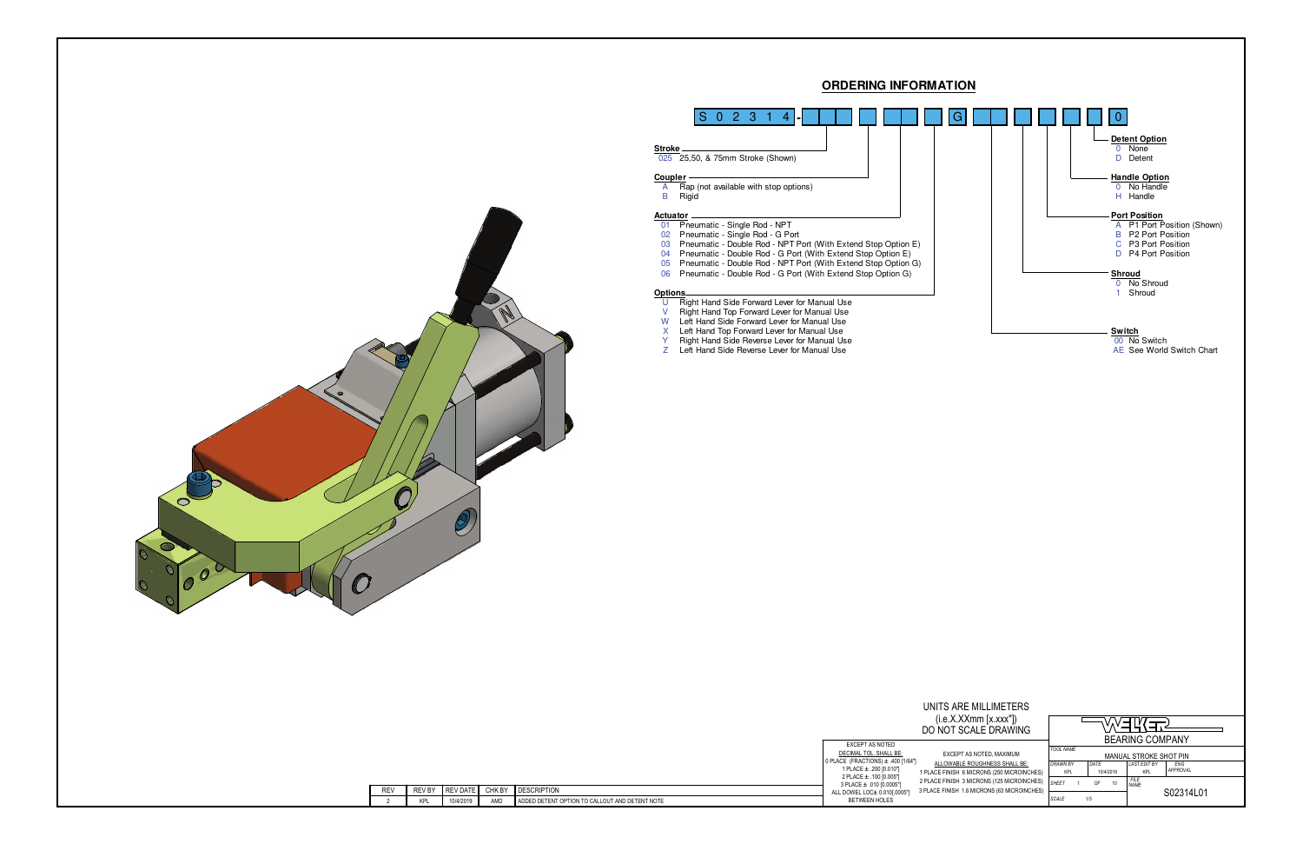



UNITS AF  $(i.e.X.)$ DO NOT

| EXCEPT AS NOTED                                     |                |
|-----------------------------------------------------|----------------|
| DECIMAL TOL. SHALL BE:                              | <b>EXCEP</b>   |
| 0 PLACE (FRACTIONS) $\pm$ .400 [1/64"]              | ALLOWABL       |
| 1 PLACE ± .200 [0.010"]                             | 1 PLACE FINISH |
| 2 PLACE ± .100 [0.005"]<br>3 PLACE ± .010 [0.0005"] | 2 PLACE FINISH |
| ALL DOWEL LOC± 0.010[.0005"]                        | 3 PLACE FINISH |
| <b>BETWEEN HOLES</b>                                |                |

| UNITS ARE MILLIMETERS                                                                     |                               |      |           |                            |                        |
|-------------------------------------------------------------------------------------------|-------------------------------|------|-----------|----------------------------|------------------------|
| (i.e.X.XXmm [x.xxx"])<br>DO NOT SCALE DRAWING                                             |                               |      |           |                            |                        |
|                                                                                           |                               |      |           | <b>BEARING COMPANY</b>     |                        |
| EXCEPT AS NOTED, MAXIMUM                                                                  | <b>TOOL NAME</b>              |      |           | MANUAL STROKE SHOT PIN     |                        |
| ALLOWABLE ROUGHNESS SHALL BE:<br>1 PLACE FINISH 6 MICRONS (250 MICROINCHES)               | <b>DRAWN BY</b><br><b>KPL</b> | DATE | 10/4/2019 | <b>LAST EDIT BY</b><br>KPL | ENG<br><b>APPROVAL</b> |
| 2 PLACE FINISH 3 MICRONS (125 MICROINCHES)<br>3 PLACE FINISH 1.6 MICRONS (63 MICROINCHES) | <b>SHFFT</b>                  | OF   | 10        | <b>FILE</b><br><b>NAMF</b> |                        |
|                                                                                           | SCALE                         | 1/3  |           |                            | S02314L01              |

| RE١ | 1.5V<br>RE'<br><b>D</b> | $- - - -$<br><b>REV</b><br>DAIL | CHK BY | <b>DESCRIPTION</b>                                                                                                                                            |
|-----|-------------------------|---------------------------------|--------|---------------------------------------------------------------------------------------------------------------------------------------------------------------|
|     | KPL                     | 10/4/2019                       | AMD    | <b>ENT NOTE</b><br>DETE'<br>OP <sub>1</sub><br><b>JON TO</b><br>CALLOUT<br>ADDED.<br>AND<br>$\mathbf{A}$<br>) DE'<br>≀ENT<br>™FN<br>$\cdot$ $\cdot$<br>$\sim$ |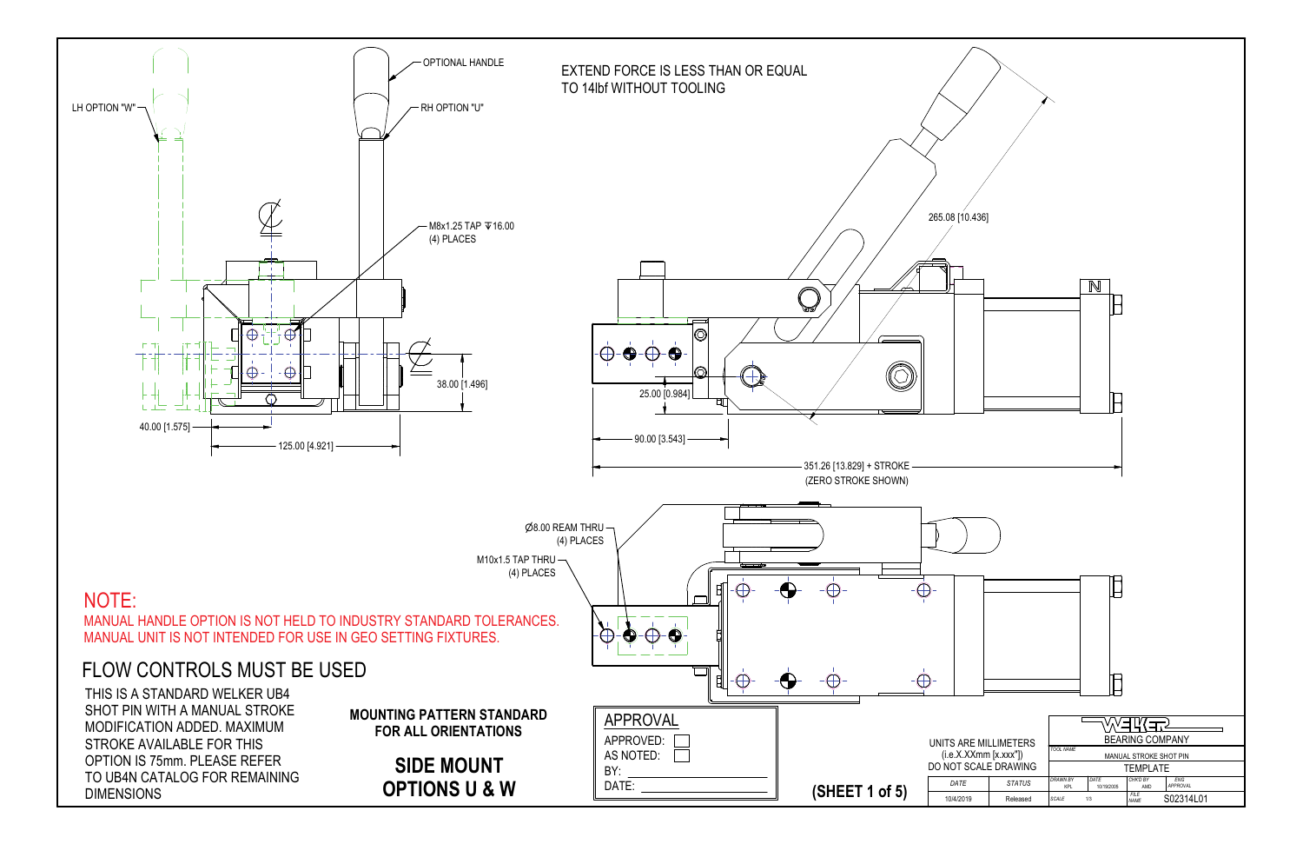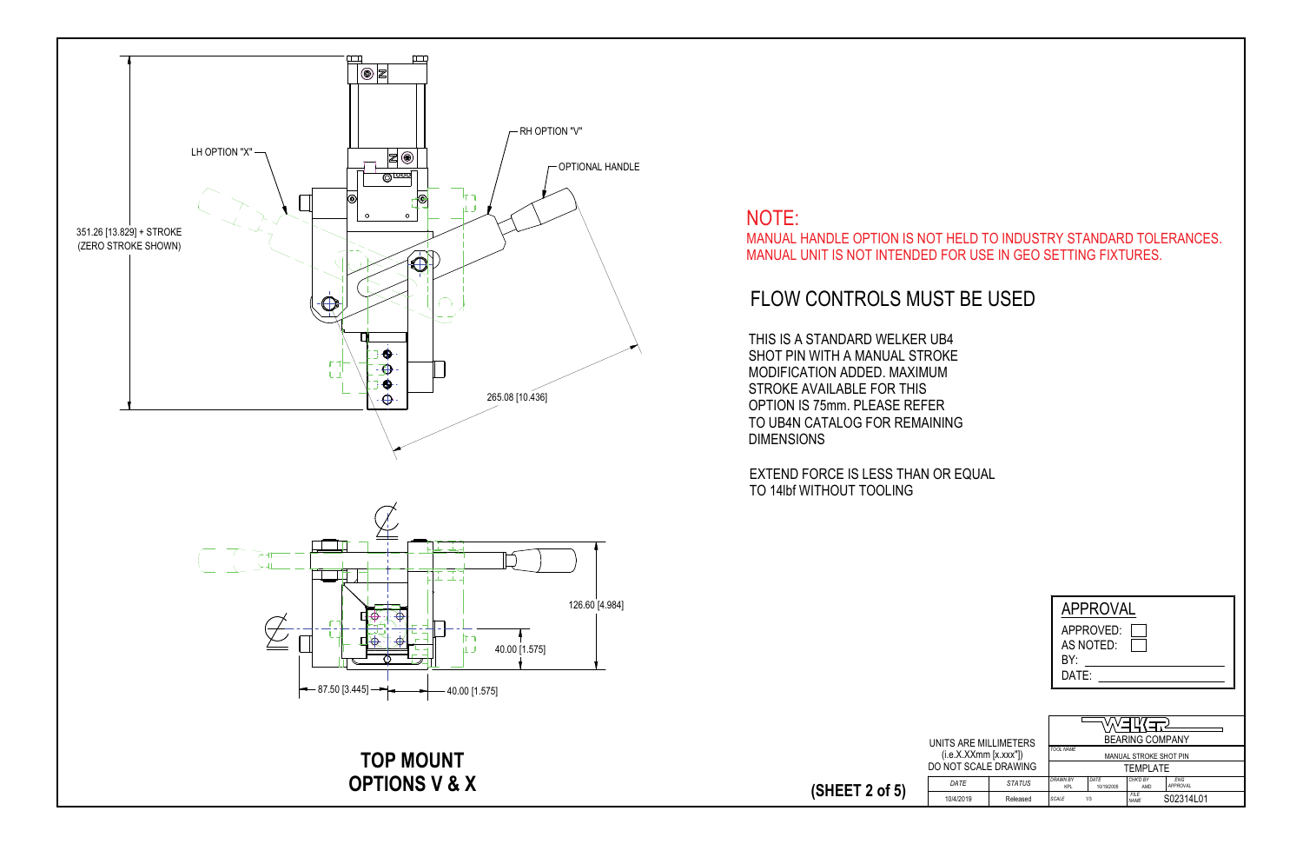|                       |               |                        | <b>APPROVAL</b>    |                            |                        |
|-----------------------|---------------|------------------------|--------------------|----------------------------|------------------------|
|                       |               |                        | APPROVED:          |                            |                        |
|                       |               |                        | AS NOTED:          |                            |                        |
|                       |               | BY۰                    |                    |                            |                        |
|                       |               | DATE:                  |                    |                            |                        |
|                       |               |                        |                    |                            |                        |
|                       |               |                        |                    |                            |                        |
|                       |               |                        |                    |                            |                        |
| UNITS ARE MILLIMETERS |               |                        |                    | <b>BEARING COMPANY</b>     |                        |
| (i.e.X.XXmm [x.xxx"]) |               | <b>TOOL NAME</b>       |                    | MANUAL STROKE SHOT PIN     |                        |
| DO NOT SCALE DRAWING  |               |                        | <b>TEMPI ATE</b>   |                            |                        |
| DATE                  | <b>STATUS</b> | <b>DRAWN BY</b><br>KPI | DATE<br>10/19/2005 | CHK'D BY<br>AMD            | <b>FNG</b><br>APPROVAL |
| 10/4/2019             | Released      | <b>SCALE</b>           | 1/3                | <b>FILE</b><br><b>NAMF</b> | S02314L01              |

**(SHEET 2 of 5)**



# FLOW CONTROLS MUST BE USED

THIS IS A STANDARD WELKER UB4 SHOT PIN WITH A MANUAL STROKE MODIFICATION ADDED. MAXIMUM STROKE AVAILABLE FOR THIS OPTION IS 75mm. PLEASE REFER TO UB4N CATALOG FOR REMAININGDIMENSIONS

EXTEND FORCE IS LESS THAN OR EQUAL TO 14lbf WITHOUT TOOLING

 $\overline{DATE}$ 

### NOTE: MANUAL HANDLE OPTION IS NOT HELD TO INDUSTRY STANDARD TOLERANCES.MANUAL UNIT IS NOT INTENDED FOR USE IN GEO SETTING FIXTURES.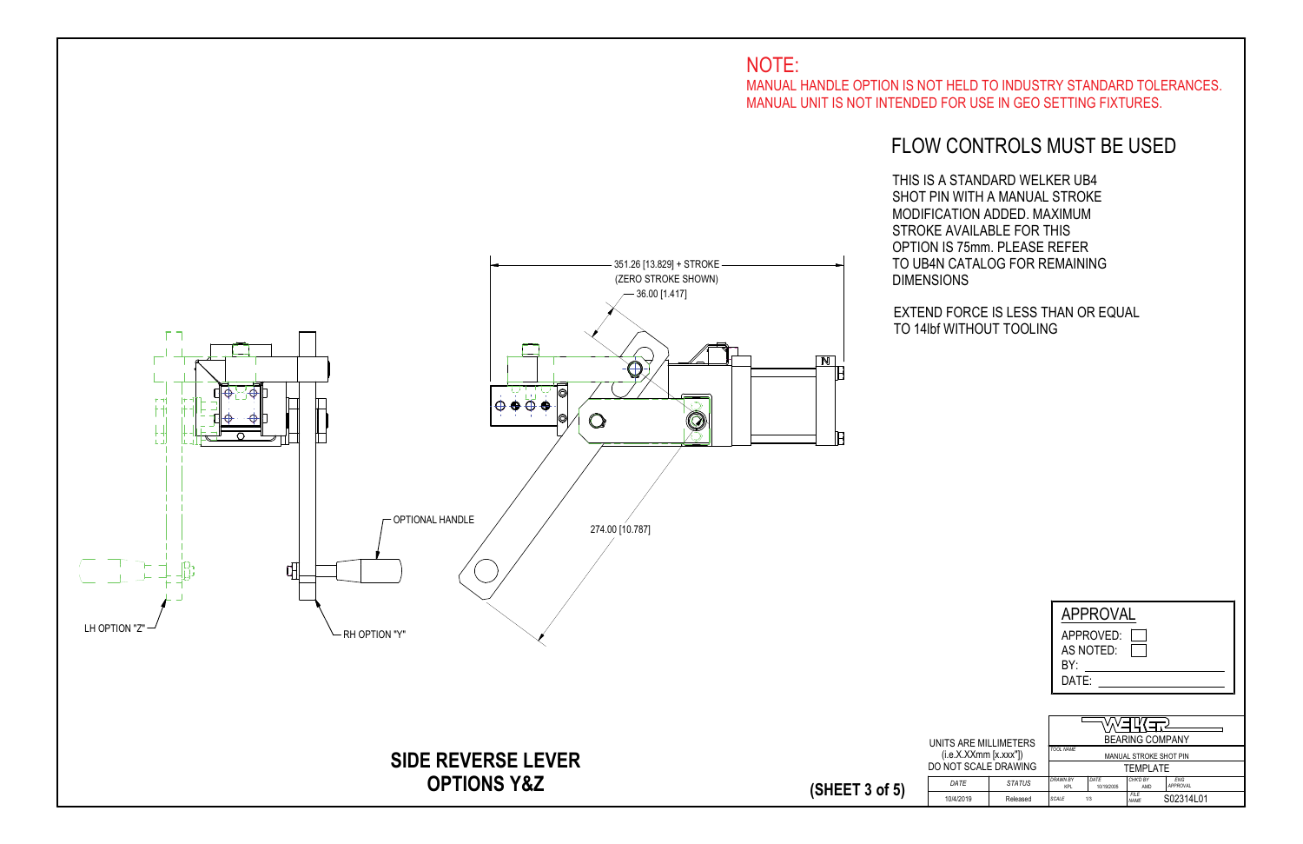|                                                |               | <b>APPROVAL</b>                                          |                    |                        |                        |  |  |  |  |
|------------------------------------------------|---------------|----------------------------------------------------------|--------------------|------------------------|------------------------|--|--|--|--|
| APPROVED:<br>AS NOTED:<br>BY:<br>DATE:         |               |                                                          |                    |                        |                        |  |  |  |  |
| <b>BEARING COMPANY</b><br><b>E MILLIMETERS</b> |               |                                                          |                    |                        |                        |  |  |  |  |
| (Xmm [x.xxx"])                                 |               | <b>TOOL NAME</b>                                         |                    | MANUAL STROKE SHOT PIN |                        |  |  |  |  |
|                                                | CALE DRAWING  | <b>TEMPLATE</b>                                          |                    |                        |                        |  |  |  |  |
|                                                | <b>STATUS</b> | <b>DRAWN BY</b><br>KPI                                   | DATE<br>10/19/2005 | CHK'D BY<br>AMD        | <b>FNG</b><br>APPROVAL |  |  |  |  |
| g                                              | Released      | FII F<br>S02314L01<br><b>SCALE</b><br>1/3<br><b>NAMF</b> |                    |                        |                        |  |  |  |  |

## FLOW CONTROLS MUST BE USED



THIS IS A STANDARD WELKER UB4 SHOT PIN WITH A MANUAL STROKE MODIFICATION ADDED. MAXIMUM STROKE AVAILABLE FOR THIS OPTION IS 75mm. PLEASE REFER TO UB4N CATALOG FOR REMAINING

EXTEND FORCE IS LESS THAN OR EQUAL TO 14lbf WITHOUT TOOLING

MANUAL HANDLE OPTION IS NOT HELD TO INDUSTRY STANDARD TOLERANCES.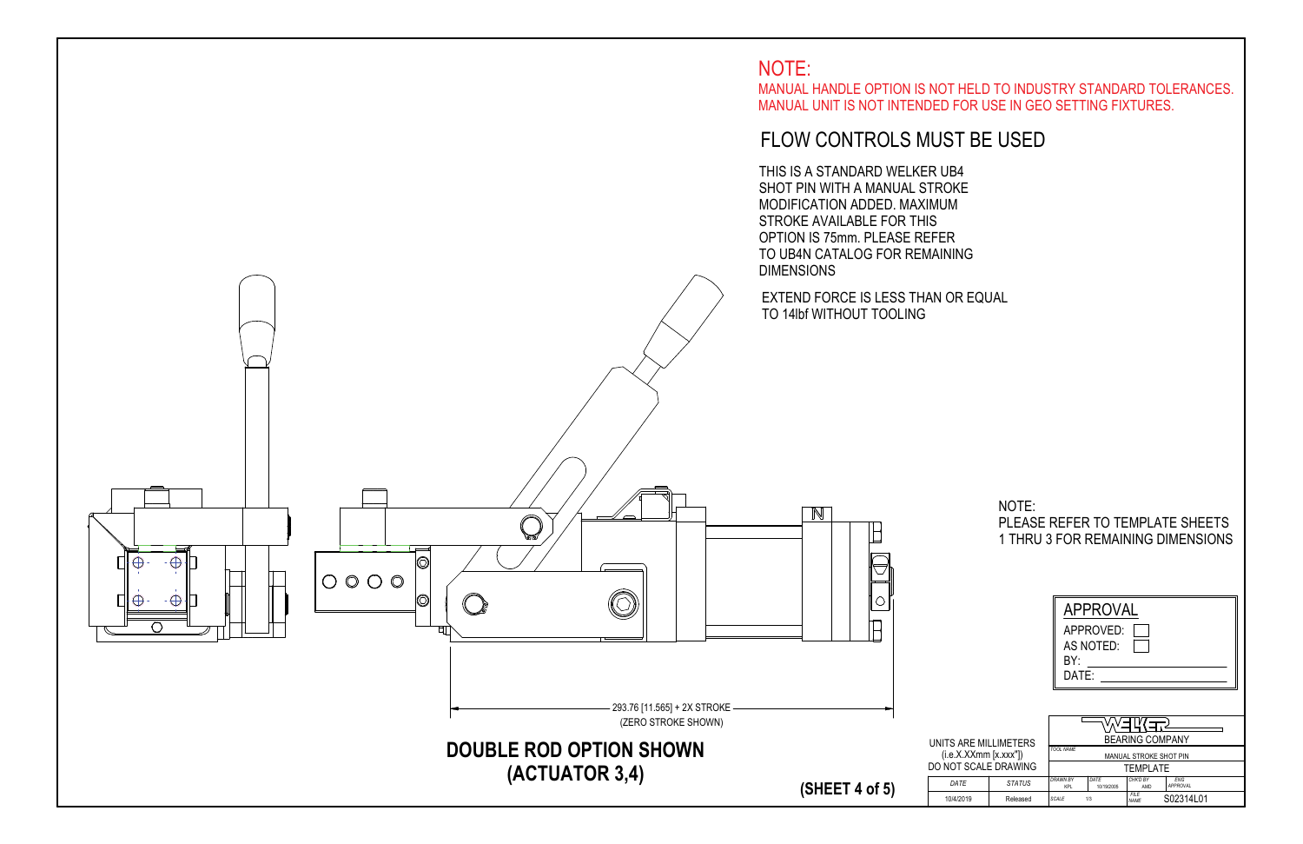|   |                | <b>APPROVAL</b><br>APPROVED:<br>AS NOTED:<br>BY:<br>DATE: |                    |                        |                        |  |  |
|---|----------------|-----------------------------------------------------------|--------------------|------------------------|------------------------|--|--|
|   | E MILLIMETERS! |                                                           |                    | <b>BEARING COMPANY</b> |                        |  |  |
|   | (Xmm [x.xxx"]) | <b>TOOL NAME</b><br>MANUAL STROKE SHOT PIN                |                    |                        |                        |  |  |
|   | CALE DRAWING   |                                                           |                    | <b>TEMPLATE</b>        |                        |  |  |
|   | <b>STATUS</b>  | <b>DRAWN BY</b><br><b>KPL</b>                             | DATE<br>10/19/2005 | CHK'D BY<br>AMD        | <b>FNG</b><br>APPROVAL |  |  |
| 9 | Released       | <b>SCALE</b>                                              | 1/3                | FII F<br><b>NAME</b>   | S02314L01              |  |  |

### NOTE: PLEASE REFER TO TEMPLATE SHEETS1 THRU 3 FOR REMAINING DIMENSIONS



 MANUAL HANDLE OPTION IS NOT HELD TO INDUSTRY STANDARD TOLERANCES.MANUAL UNIT IS NOT INTENDED FOR USE IN GEO SETTING FIXTURES.